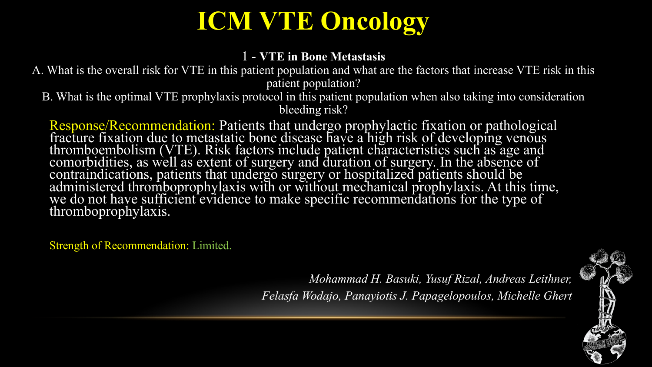#### 1 - **VTE in Bone Metastasis**

A. What is the overall risk for VTE in this patient population and what are the factors that increase VTE risk in this patient population?

B. What is the optimal VTE prophylaxis protocol in this patient population when also taking into consideration bleeding risk?

Response/Recommendation: Patients that undergo prophylactic fixation or pathological fracture fixation due to metastatic bone disease have a high risk of developing venous thromboembolism (VTE). Risk factors include patient characteristics such as age and comorbidities, as well as extent of surgery and duration of surgery. In the absence of contraindications, patients that undergo surgery or hospitalized patients should be administered thromboprophylaxis with or without mechanical prophylaxis. At this time, we do not have sufficient evidence to make specific recommendations for the type of thromboprophylaxis.

Strength of Recommendation: Limited.

*Mohammad H. Basuki, Yusuf Rizal, Andreas Leithner, Felasfa Wodajo, Panayiotis J. Papagelopoulos, Michelle Ghert*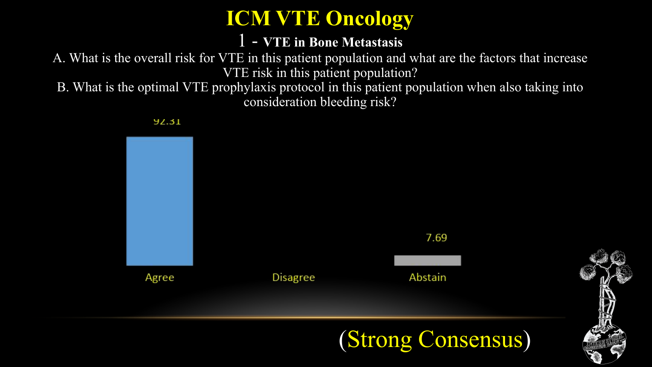#### 1 - **VTE in Bone Metastasis**

A. What is the overall risk for VTE in this patient population and what are the factors that increase VTE risk in this patient population?

B. What is the optimal VTE prophylaxis protocol in this patient population when also taking into consideration bleeding risk?

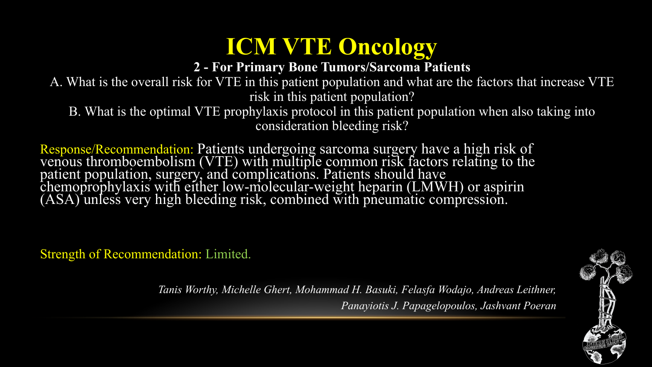#### **2 - For Primary Bone Tumors/Sarcoma Patients**

A. What is the overall risk for VTE in this patient population and what are the factors that increase VTE risk in this patient population?

B. What is the optimal VTE prophylaxis protocol in this patient population when also taking into consideration bleeding risk?

Response/Recommendation: Patients undergoing sarcoma surgery have a high risk of venous thromboembolism (VTE) with multiple common risk factors relating to the patient population, surgery, and complications. Patients should have chemoprophylaxis with either low-molecular-weight heparin (LMWH) or aspirin (ASA) unless very high bleeding risk, combined with pneumatic compression.

Strength of Recommendation: Limited.



*Tanis Worthy, Michelle Ghert, Mohammad H. Basuki, Felasfa Wodajo, Andreas Leithner, Panayiotis J. Papagelopoulos, Jashvant Poeran*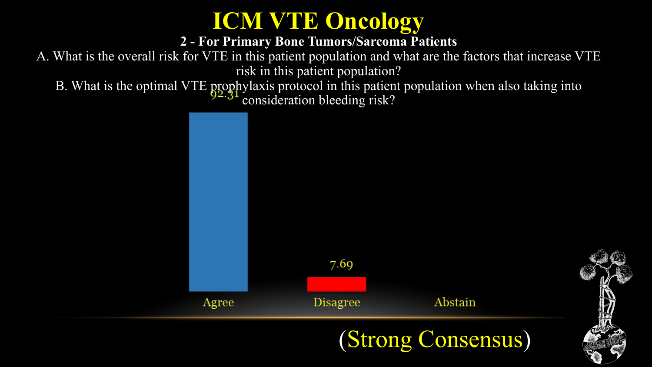

#### **2 - For Primary Bone Tumors/Sarcoma Patients**

A. What is the overall risk for VTE in this patient population and what are the factors that increase VTE risk in this patient population?

B. What is the optimal VTE prophylaxis protocol in this patient population when also taking into consideration bleeding risk?

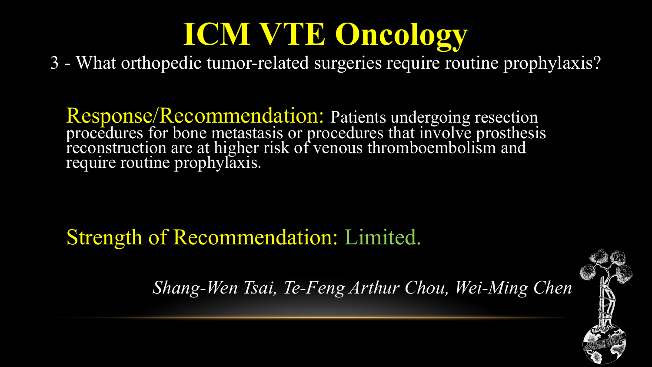3 - What orthopedic tumor-related surgeries require routine prophylaxis?

Response/Recommendation: Patients undergoing resection procedures for bone metastasis or procedures that involve prosthesis reconstruction are at higher risk of venous thromboembolism and require routine prophylaxis.

Strength of Recommendation: Limited.

*Shang-Wen Tsai, Te-Feng Arthur Chou, Wei-Ming Chen* 

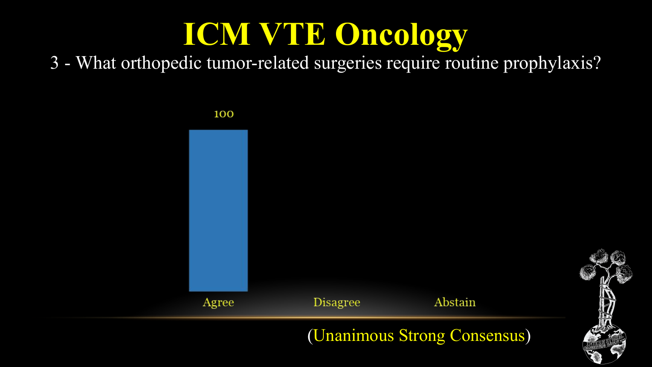3 - What orthopedic tumor-related surgeries require routine prophylaxis?

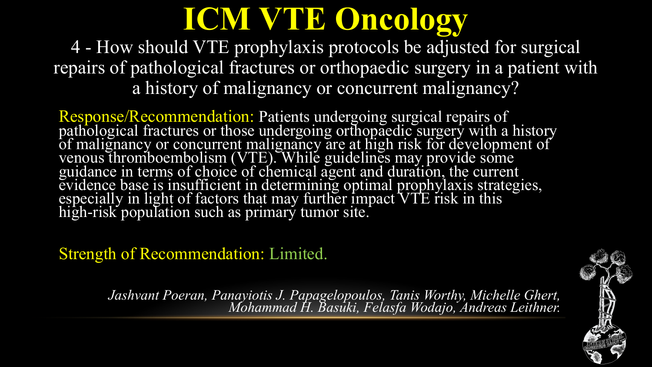4 - How should VTE prophylaxis protocols be adjusted for surgical repairs of pathological fractures or orthopaedic surgery in a patient with a history of malignancy or concurrent malignancy?

Response/Recommendation: Patients undergoing surgical repairs of pathological fractures or those undergoing orthopaedic surgery with a history of malignancy or concurrent malignancy are at high risk for development of venous thromboembolism (VTE). While guidelines may provide some guidance in terms of choice of chemical agent and duration, the current evidence base is insufficient in determining optimal prophylaxis strategies, especially in light of factors that may further impact VTE risk in this high-risk population such as primary tumor site.

Strength of Recommendation: Limited.

*Jashvant Poeran, Panayiotis J. Papagelopoulos, Tanis Worthy, Michelle Ghert, Mohammad H. Basuki, Felasfa Wodajo, Andreas Leithner.*